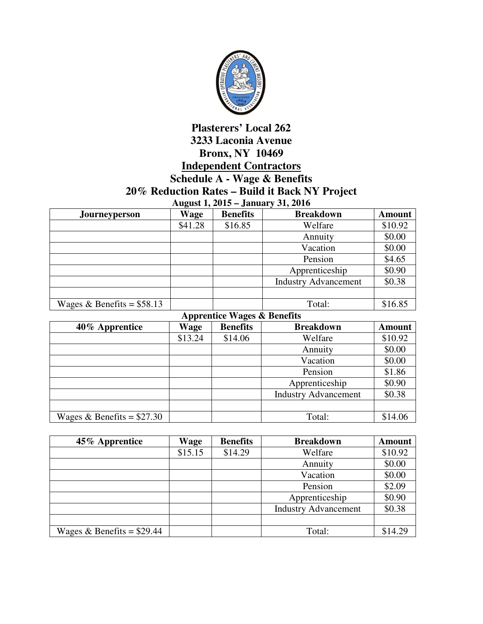

## **Plasterers' Local 262 3233 Laconia Avenue Bronx, NY 10469 Independent Contractors Schedule A - Wage & Benefits 20% Reduction Rates – Build it Back NY Project August 1, 2015 – January 31, 2016**

| 1.14<br>0.41444, 0.17040    |         |                 |                             |               |
|-----------------------------|---------|-----------------|-----------------------------|---------------|
| <b>Journeyperson</b>        | Wage    | <b>Benefits</b> | <b>Breakdown</b>            | <b>Amount</b> |
|                             | \$41.28 | \$16.85         | Welfare                     | \$10.92       |
|                             |         |                 | Annuity                     | \$0.00        |
|                             |         |                 | Vacation                    | \$0.00        |
|                             |         |                 | Pension                     | \$4.65        |
|                             |         |                 | Apprenticeship              | \$0.90        |
|                             |         |                 | <b>Industry Advancement</b> | \$0.38        |
|                             |         |                 |                             |               |
| Wages & Benefits = $$58.13$ |         |                 | Total:                      | \$16.85       |

| <b>Apprentice Wages &amp; Benefits</b> |         |                 |                             |               |
|----------------------------------------|---------|-----------------|-----------------------------|---------------|
| 40% Apprentice                         | Wage    | <b>Benefits</b> | <b>Breakdown</b>            | <b>Amount</b> |
|                                        | \$13.24 | \$14.06         | Welfare                     | \$10.92       |
|                                        |         |                 | Annuity                     | \$0.00        |
|                                        |         |                 | Vacation                    | \$0.00        |
|                                        |         |                 | Pension                     | \$1.86        |
|                                        |         |                 | Apprenticeship              | \$0.90        |
|                                        |         |                 | <b>Industry Advancement</b> | \$0.38        |
|                                        |         |                 |                             |               |
| Wages & Benefits = $$27.30$            |         |                 | Total:                      | \$14.06       |

| 45% Apprentice              | Wage    | <b>Benefits</b> | <b>Breakdown</b>            | <b>Amount</b> |
|-----------------------------|---------|-----------------|-----------------------------|---------------|
|                             | \$15.15 | \$14.29         | Welfare                     | \$10.92       |
|                             |         |                 | Annuity                     | \$0.00        |
|                             |         |                 | Vacation                    | \$0.00        |
|                             |         |                 | Pension                     | \$2.09        |
|                             |         |                 | Apprenticeship              | \$0.90        |
|                             |         |                 | <b>Industry Advancement</b> | \$0.38        |
|                             |         |                 |                             |               |
| Wages & Benefits = $$29.44$ |         |                 | Total:                      | \$14.29       |